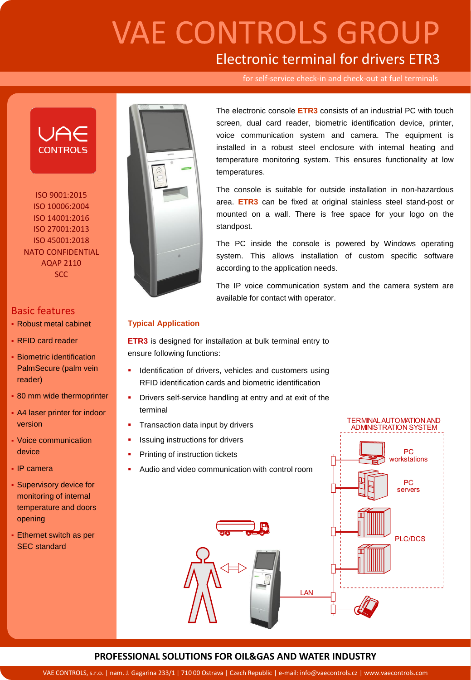# **VAE CONTROLS GROUP** Electronic terminal for drivers ETR3

for self-service check-in and check-out at fuel terminals



ISO 9001:2015 ISO 10006:2004 ISO 14001:2016 ISO 27001:2013 ISO 45001:2018 NATO CONFIDENTIAL AQAP 2110 **SCC** 

## Basic features

- Robust metal cabinet
- RFID card reader
- **Biometric identification** PalmSecure (palm vein reader)
- **80 mm wide thermoprinter**
- **A4 laser printer for indoor** version
- Voice communication device
- IP camera
- **Supervisory device for** monitoring of internal temperature and doors opening
- **Ethernet switch as per** SEC standard



The electronic console **ETR3** consists of an industrial PC with touch screen, dual card reader, biometric identification device, printer, voice communication system and camera. The equipment is installed in a robust steel enclosure with internal heating and temperature monitoring system. This ensures functionality at low temperatures.

The console is suitable for outside installation in non-hazardous area. **ETR3** can be fixed at original stainless steel stand-post or mounted on a wall. There is free space for your logo on the standpost.

The PC inside the console is powered by Windows operating system. This allows installation of custom specific software according to the application needs.

The IP voice communication system and the camera system are available for contact with operator.

> **TERMINAL AUTOMATION AND ADMINISTRATION SYSTEM**

### **Typical Application**

**ETR3** is designed for installation at bulk terminal entry to ensure following functions:

- Identification of drivers, vehicles and customers using RFID identification cards and biometric identification
- **•** Drivers self-service handling at entry and at exit of the terminal
- Transaction data input by drivers
- Issuing instructions for drivers
- Printing of instruction tickets
- Audio and video communication with control room



### **PROFESSIONAL SOLUTIONS FOR OIL&GAS AND WATER INDUSTRY**